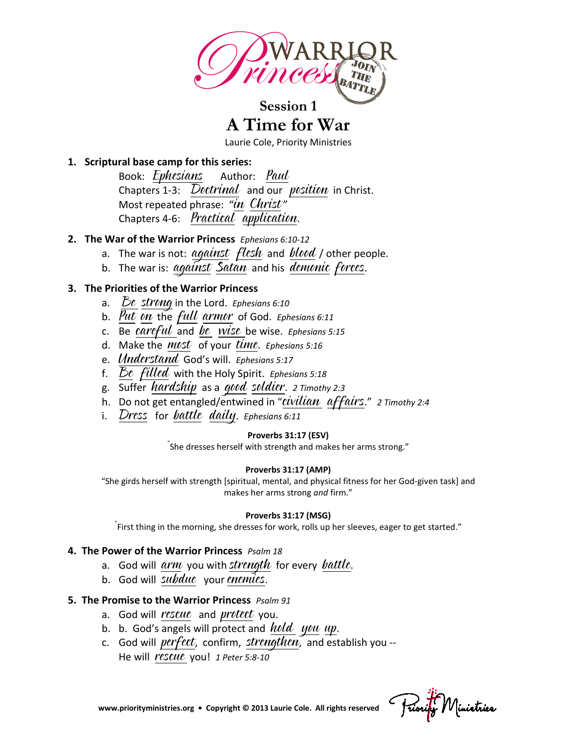

**Session 1**

**A Time for War**

Laurie Cole, Priority Ministries

### **1. Scriptural base camp for this series:**

Book: *Ephesians* Author: *Paul* Chapters 1-3:  $\overline{Dotrinal}$  and our *position* in Christ. Most repeated phrase: "in Christ" Chapters 4-6: Practical application.

### **2. The War of the Warrior Princess** *Ephesians 6:10-12*

- a. The war is not:  $a$ gainst flesh and blood / other people.
- b. The war is: against Satan and his demonic forces.

### **3. The Priorities of the Warrior Princess**

- a. Be strong in the Lord. *Ephesians 6:10*
- b. Put on the full armor of God. *Ephesians 6:11*
- c. Be careful and be wise be wise. *Ephesians 5:15*
- d. Make the most of your time. *Ephesians 5:16*
- e. Understand God's will. *Ephesians 5:17*
- f. Be filled with the Holy Spirit. *Ephesians 5:18*
- g. Suffer hardship as a good soldier. *2 Timothy 2:3*
- h. Do not get entangled/entwined in "civilian affairs." *2 Timothy 2:4*
- i. Dress for battle daily. *Ephesians 6:11*

### **Proverbs 31:17 (ESV)**

" She dresses herself with strength and makes her arms strong."

### **Proverbs 31:17 (AMP)**

"She girds herself with strength [spiritual, mental, and physical fitness for her God-given task] and makes her arms strong *and* firm."

### **Proverbs 31:17 (MSG)**

" First thing in the morning, she dresses for work, rolls up her sleeves, eager to get started."

### **4. The Power of the Warrior Princess** *Psalm 18*

- a. God will  $arm$  you with strength for every battle.
- b. God will subdue your enemies.

### **5. The Promise to the Warrior Princess** *Psalm 91*

- a. God will rescue and protect you.
- b. b. God's angels will protect and  $hold$  you up.
- c. God will *perfect*, confirm, strengthen, and establish you  $-$ He will rescue you! *1 Peter 5:8-10*

 **[www.priorityministries.org](http://www.priorityministries.org/) • Copyright © 2013 Laurie Cole. All rights reserved**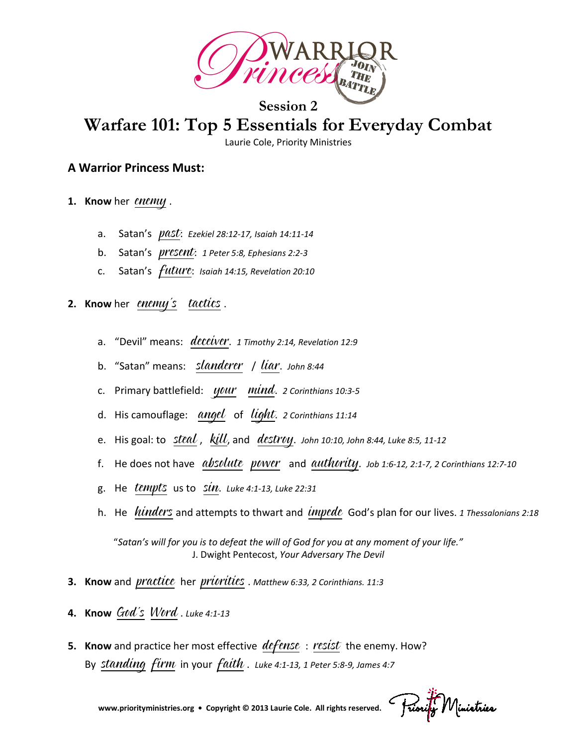

# **Warfare 101: Top 5 Essentials for Everyday Combat**

Laurie Cole, Priority Ministries

### **A Warrior Princess Must:**

- **1. Know** her enemy .
	- a. Satan's past: *Ezekiel 28:12-17, Isaiah 14:11-14*
	- b. Satan's present: *1 Peter 5:8, Ephesians 2:2-3*
	- c. Satan's future: *Isaiah 14:15, Revelation 20:10*
- **2.** Know her *enemy's* tactics.
	- a. "Devil" means: deceiver. *1 Timothy 2:14, Revelation 12:9*
	- b. "Satan" means: slanderer / liar. *John 8:44*
	- c. Primary battlefield: your mind. *2 Corinthians 10:3-5*
	- d. His camouflage: angel of light. *2 Corinthians 11:14*
	- e. His goal: to *steal*, *kill*, and *destroy*. *John 10:10, John 8:44, Luke 8:5, 11-12*
	- f. He does not have absolute power and authority. *Job 1:6-12, 2:1-7, 2 Corinthians 12:7-10*
	- g. He tempts us to sin. *Luke 4:1-13, Luke 22:31*
	- h. He *hinders* and attempts to thwart and *impede* God's plan for our lives. 1 Thessalonians 2:18

"*Satan's will for you is to defeat the will of God for you at any moment of your life."* J. Dwight Pentecost, *Your Adversary The Devil*

- **3. Know** and practice her priorities . *Matthew 6:33, 2 Corinthians. 11:3*
- **4. Know** God's Word . *Luke 4:1-13*
- **5. Know** and practice her most effective *defense* : resist the enemy. How? By *standing firm* in your *faith*. Luke 4:1-13, 1 Peter 5:8-9, James 4:7

Friority Ministries

 **[www.priorityministries.org](http://www.priorityministries.org/) • Copyright © 2013 Laurie Cole. All rights reserved.**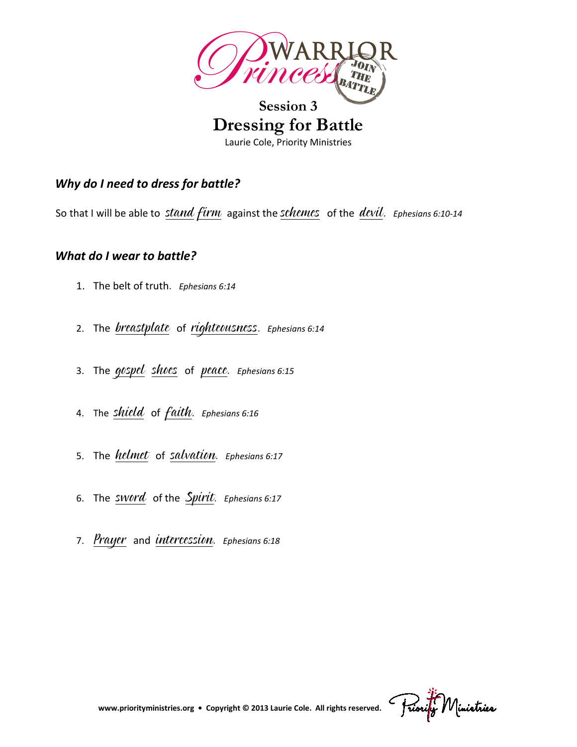

# **Session 3 Dressing for Battle** Laurie Cole, Priority Ministries

# *Why do I need to dress for battle?*

So that I will be able to stand firm against the schemes of the devil. *Ephesians 6:10-14*

## *What do I wear to battle?*

- 1. The belt of truth. *Ephesians 6:14*
- 2. The breastplate of righteousness. *Ephesians 6:14*
- 3. The gospel shoes of peace. *Ephesians 6:15*
- 4. The shield of faith. *Ephesians 6:16*
- 5. The helmet of salvation. *Ephesians 6:17*
- 6. The sword of the Spirit. *Ephesians 6:17*
- 7. Prayer and intercession. *Ephesians 6:18*

Friority Ministries